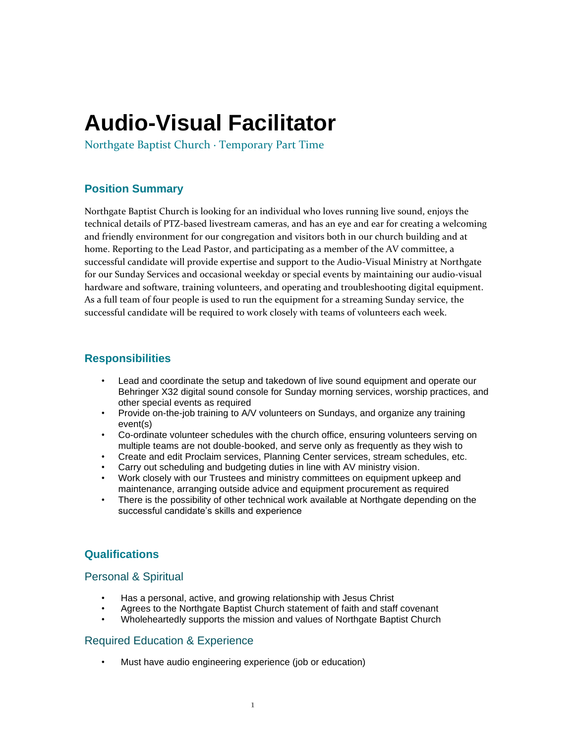# **Audio-Visual Facilitator**

Northgate Baptist Church ∙ Temporary Part Time

# **Position Summary**

Northgate Baptist Church is looking for an individual who loves running live sound, enjoys the technical details of PTZ-based livestream cameras, and has an eye and ear for creating a welcoming and friendly environment for our congregation and visitors both in our church building and at home. Reporting to the Lead Pastor, and participating as a member of the AV committee, a successful candidate will provide expertise and support to the Audio-Visual Ministry at Northgate for our Sunday Services and occasional weekday or special events by maintaining our audio-visual hardware and software, training volunteers, and operating and troubleshooting digital equipment. As a full team of four people is used to run the equipment for a streaming Sunday service, the successful candidate will be required to work closely with teams of volunteers each week.

## **Responsibilities**

- Lead and coordinate the setup and takedown of live sound equipment and operate our Behringer X32 digital sound console for Sunday morning services, worship practices, and other special events as required
- Provide on-the-job training to A/V volunteers on Sundays, and organize any training event(s)
- Co-ordinate volunteer schedules with the church office, ensuring volunteers serving on multiple teams are not double-booked, and serve only as frequently as they wish to
- Create and edit Proclaim services, Planning Center services, stream schedules, etc.
- Carry out scheduling and budgeting duties in line with AV ministry vision.
- Work closely with our Trustees and ministry committees on equipment upkeep and maintenance, arranging outside advice and equipment procurement as required
- There is the possibility of other technical work available at Northgate depending on the successful candidate's skills and experience

# **Qualifications**

#### Personal & Spiritual

- Has a personal, active, and growing relationship with Jesus Christ
- Agrees to the Northgate Baptist Church statement of faith and staff covenant
- Wholeheartedly supports the mission and values of Northgate Baptist Church

#### Required Education & Experience

• Must have audio engineering experience (job or education)